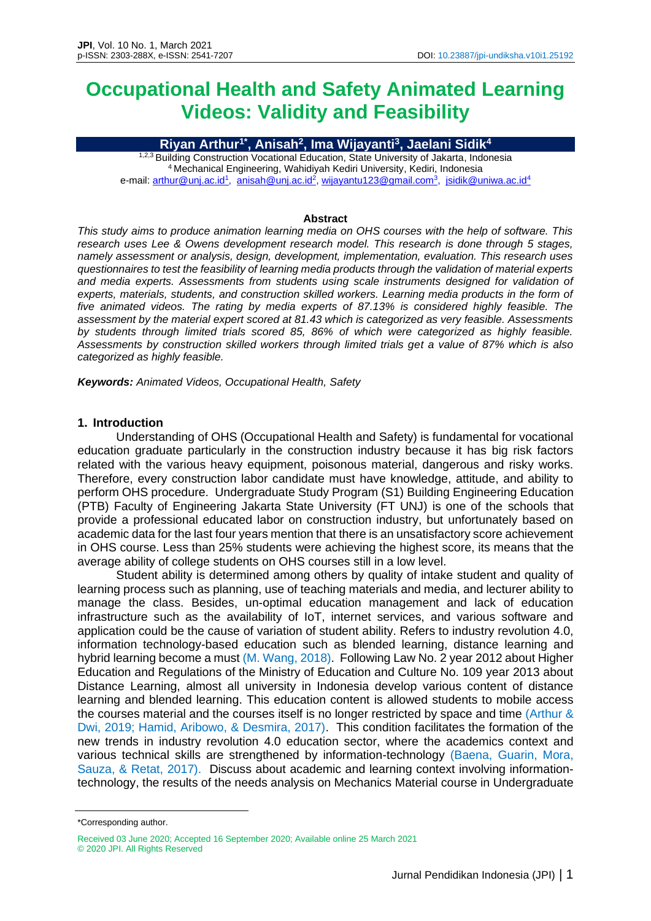# **Occupational Health and Safety Animated Learning Videos: Validity and Feasibility**

**Riyan Arthur1\* , Anisah<sup>2</sup> , Ima Wijayanti<sup>3</sup> , Jaelani Sidik<sup>4</sup>**

1,2,3 Building Construction Vocational Education, State University of Jakarta, Indonesia <sup>4</sup>Mechanical Engineering, Wahidiyah Kediri University, Kediri, Indonesia e-mail: <u>arthur@unj.ac.id<sup>1</sup>, [anisah@unj.ac.id](mailto:anisah@unj.ac.id2)<sup>2</sup>, wijayantu123@gmail.com<sup>3</sup>, <u>jsidik@uniwa.ac.id<sup>4</sup></u></u>

#### **Abstract**

*This study aims to produce animation learning media on OHS courses with the help of software. This research uses Lee & Owens development research model. This research is done through 5 stages, namely assessment or analysis, design, development, implementation, evaluation. This research uses questionnaires to test the feasibility of learning media products through the validation of material experts and media experts. Assessments from students using scale instruments designed for validation of experts, materials, students, and construction skilled workers. Learning media products in the form of five animated videos. The rating by media experts of 87.13% is considered highly feasible. The assessment by the material expert scored at 81.43 which is categorized as very feasible. Assessments by students through limited trials scored 85, 86% of which were categorized as highly feasible. Assessments by construction skilled workers through limited trials get a value of 87% which is also categorized as highly feasible.*

*Keywords: Animated Videos, Occupational Health, Safety*

#### **1. Introduction**

Understanding of OHS (Occupational Health and Safety) is fundamental for vocational education graduate particularly in the construction industry because it has big risk factors related with the various heavy equipment, poisonous material, dangerous and risky works. Therefore, every construction labor candidate must have knowledge, attitude, and ability to perform OHS procedure. Undergraduate Study Program (S1) Building Engineering Education (PTB) Faculty of Engineering Jakarta State University (FT UNJ) is one of the schools that provide a professional educated labor on construction industry, but unfortunately based on academic data for the last four years mention that there is an unsatisfactory score achievement in OHS course. Less than 25% students were achieving the highest score, its means that the average ability of college students on OHS courses still in a low level.

Student ability is determined among others by quality of intake student and quality of learning process such as planning, use of teaching materials and media, and lecturer ability to manage the class. Besides, un-optimal education management and lack of education infrastructure such as the availability of IoT, internet services, and various software and application could be the cause of variation of student ability. Refers to industry revolution 4.0, information technology-based education such as blended learning, distance learning and hybrid learning become a must (M. Wang, 2018). Following Law No. 2 year 2012 about Higher Education and Regulations of the Ministry of Education and Culture No. 109 year 2013 about Distance Learning, almost all university in Indonesia develop various content of distance learning and blended learning. This education content is allowed students to mobile access the courses material and the courses itself is no longer restricted by space and time (Arthur & Dwi, 2019; Hamid, Aribowo, & Desmira, 2017). This condition facilitates the formation of the new trends in industry revolution 4.0 education sector, where the academics context and various technical skills are strengthened by information-technology (Baena, Guarin, Mora, Sauza, & Retat, 2017). Discuss about academic and learning context involving informationtechnology, the results of the needs analysis on Mechanics Material course in Undergraduate

<sup>\*</sup>Corresponding author.

Received 03 June 2020; Accepted 16 September 2020; Available online 25 March 2021 © 2020 JPI. All Rights Reserved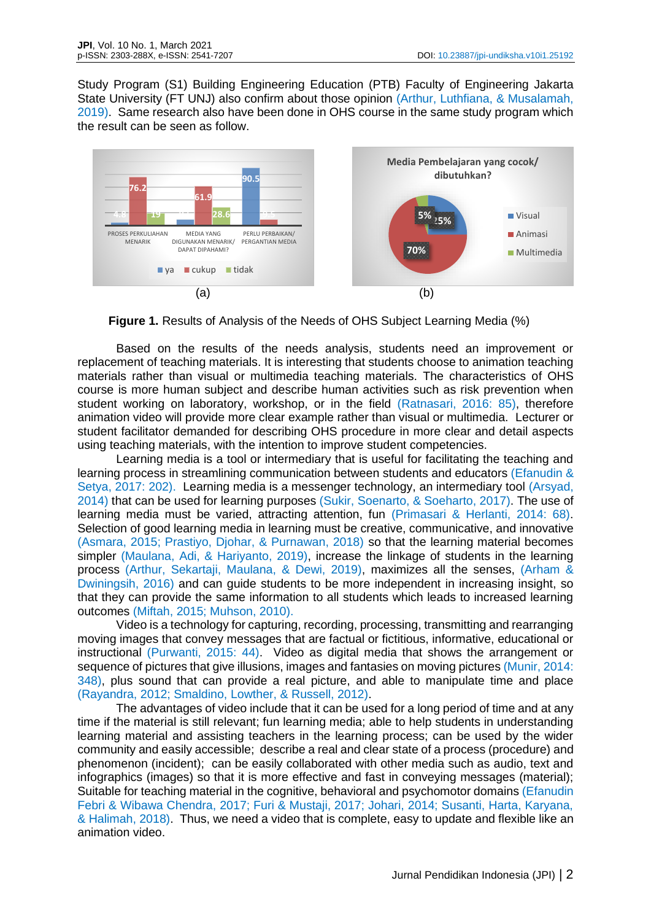Study Program (S1) Building Engineering Education (PTB) Faculty of Engineering Jakarta State University (FT UNJ) also confirm about those opinion (Arthur, Luthfiana, & Musalamah, 2019). Same research also have been done in OHS course in the same study program which the result can be seen as follow.



**Figure 1.** Results of Analysis of the Needs of OHS Subject Learning Media (%)

Based on the results of the needs analysis, students need an improvement or replacement of teaching materials. It is interesting that students choose to animation teaching materials rather than visual or multimedia teaching materials. The characteristics of OHS course is more human subject and describe human activities such as risk prevention when student working on laboratory, workshop, or in the field (Ratnasari, 2016: 85), therefore animation video will provide more clear example rather than visual or multimedia. Lecturer or student facilitator demanded for describing OHS procedure in more clear and detail aspects using teaching materials, with the intention to improve student competencies.

Learning media is a tool or intermediary that is useful for facilitating the teaching and learning process in streamlining communication between students and educators (Efanudin & Setya, 2017: 202). Learning media is a messenger technology, an intermediary tool (Arsyad, 2014) that can be used for learning purposes (Sukir, Soenarto, & Soeharto, 2017). The use of learning media must be varied, attracting attention, fun (Primasari & Herlanti, 2014: 68). Selection of good learning media in learning must be creative, communicative, and innovative (Asmara, 2015; Prastiyo, Djohar, & Purnawan, 2018) so that the learning material becomes simpler (Maulana, Adi, & Hariyanto, 2019), increase the linkage of students in the learning process (Arthur, Sekartaji, Maulana, & Dewi, 2019), maximizes all the senses, (Arham & Dwiningsih, 2016) and can guide students to be more independent in increasing insight, so that they can provide the same information to all students which leads to increased learning outcomes (Miftah, 2015; Muhson, 2010).

Video is a technology for capturing, recording, processing, transmitting and rearranging moving images that convey messages that are factual or fictitious, informative, educational or instructional (Purwanti, 2015: 44). Video as digital media that shows the arrangement or sequence of pictures that give illusions, images and fantasies on moving pictures (Munir, 2014: 348), plus sound that can provide a real picture, and able to manipulate time and place (Rayandra, 2012; Smaldino, Lowther, & Russell, 2012).

The advantages of video include that it can be used for a long period of time and at any time if the material is still relevant; fun learning media; able to help students in understanding learning material and assisting teachers in the learning process; can be used by the wider community and easily accessible; describe a real and clear state of a process (procedure) and phenomenon (incident); can be easily collaborated with other media such as audio, text and infographics (images) so that it is more effective and fast in conveying messages (material); Suitable for teaching material in the cognitive, behavioral and psychomotor domains (Efanudin Febri & Wibawa Chendra, 2017; Furi & Mustaji, 2017; Johari, 2014; Susanti, Harta, Karyana, & Halimah, 2018). Thus, we need a video that is complete, easy to update and flexible like an animation video.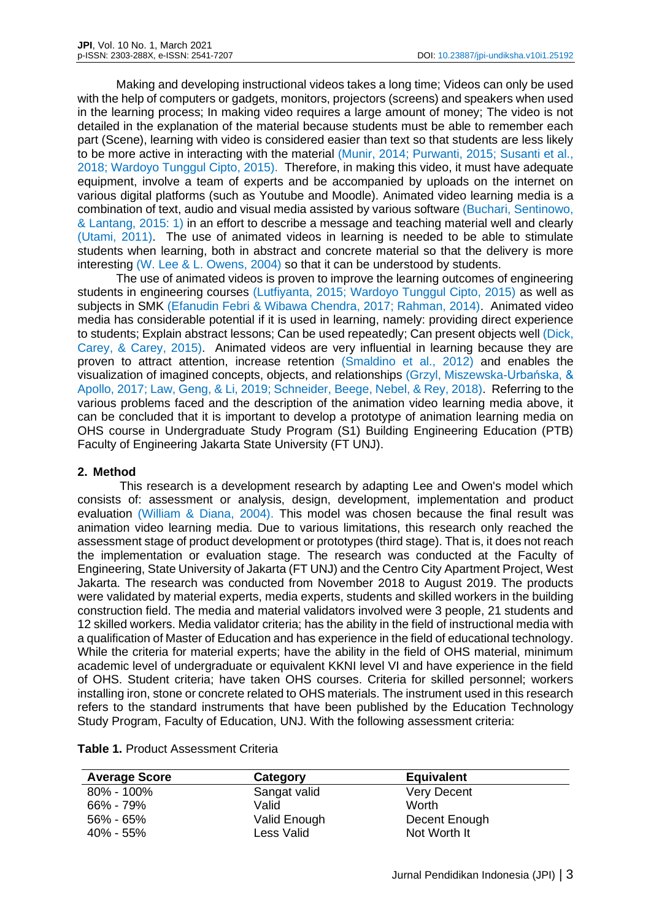Making and developing instructional videos takes a long time; Videos can only be used with the help of computers or gadgets, monitors, projectors (screens) and speakers when used in the learning process; In making video requires a large amount of money; The video is not detailed in the explanation of the material because students must be able to remember each part (Scene), learning with video is considered easier than text so that students are less likely to be more active in interacting with the material (Munir, 2014; Purwanti, 2015; Susanti et al., 2018; Wardoyo Tunggul Cipto, 2015). Therefore, in making this video, it must have adequate equipment, involve a team of experts and be accompanied by uploads on the internet on various digital platforms (such as Youtube and Moodle). Animated video learning media is a combination of text, audio and visual media assisted by various software (Buchari, Sentinowo, & Lantang, 2015: 1) in an effort to describe a message and teaching material well and clearly (Utami, 2011). The use of animated videos in learning is needed to be able to stimulate students when learning, both in abstract and concrete material so that the delivery is more interesting (W. Lee & L. Owens, 2004) so that it can be understood by students.

The use of animated videos is proven to improve the learning outcomes of engineering students in engineering courses (Lutfiyanta, 2015; Wardoyo Tunggul Cipto, 2015) as well as subjects in SMK (Efanudin Febri & Wibawa Chendra, 2017; Rahman, 2014). Animated video media has considerable potential if it is used in learning, namely: providing direct experience to students; Explain abstract lessons; Can be used repeatedly; Can present objects well (Dick, Carey, & Carey, 2015). Animated videos are very influential in learning because they are proven to attract attention, increase retention (Smaldino et al., 2012) and enables the visualization of imagined concepts, objects, and relationships (Grzyl, Miszewska-Urbańska, & Apollo, 2017; Law, Geng, & Li, 2019; Schneider, Beege, Nebel, & Rey, 2018). Referring to the various problems faced and the description of the animation video learning media above, it can be concluded that it is important to develop a prototype of animation learning media on OHS course in Undergraduate Study Program (S1) Building Engineering Education (PTB) Faculty of Engineering Jakarta State University (FT UNJ).

#### **2. Method**

This research is a development research by adapting Lee and Owen's model which consists of: assessment or analysis, design, development, implementation and product evaluation (William & Diana, 2004). This model was chosen because the final result was animation video learning media. Due to various limitations, this research only reached the assessment stage of product development or prototypes (third stage). That is, it does not reach the implementation or evaluation stage. The research was conducted at the Faculty of Engineering, State University of Jakarta (FT UNJ) and the Centro City Apartment Project, West Jakarta. The research was conducted from November 2018 to August 2019. The products were validated by material experts, media experts, students and skilled workers in the building construction field. The media and material validators involved were 3 people, 21 students and 12 skilled workers. Media validator criteria; has the ability in the field of instructional media with a qualification of Master of Education and has experience in the field of educational technology. While the criteria for material experts; have the ability in the field of OHS material, minimum academic level of undergraduate or equivalent KKNI level VI and have experience in the field of OHS. Student criteria; have taken OHS courses. Criteria for skilled personnel; workers installing iron, stone or concrete related to OHS materials. The instrument used in this research refers to the standard instruments that have been published by the Education Technology Study Program, Faculty of Education, UNJ. With the following assessment criteria:

| <b>Average Score</b> | Category     | <b>Equivalent</b>  |  |
|----------------------|--------------|--------------------|--|
| $80\% - 100\%$       | Sangat valid | <b>Very Decent</b> |  |
| 66% - 79%            | Valid        | Worth              |  |
| $56\% - 65\%$        | Valid Enough | Decent Enough      |  |
| $40\% - 55\%$        | Less Valid   | Not Worth It       |  |

## **Table 1.** Product Assessment Criteria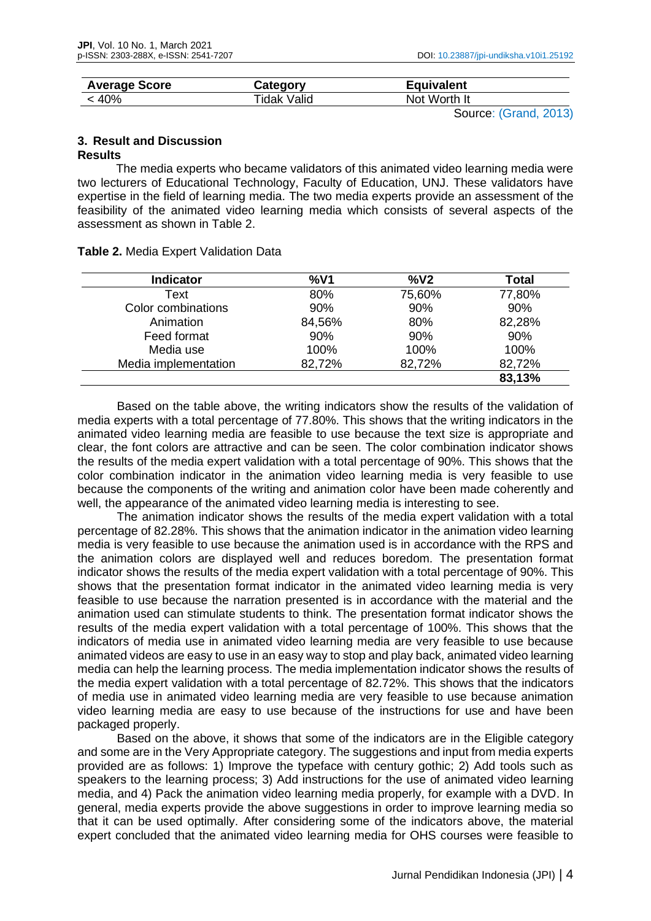| <b>Average Score</b> | Category    | <b>Equivalent</b> |  |
|----------------------|-------------|-------------------|--|
| < 40%                | Tidak Valid | Not Worth It      |  |

Source: (Grand, 2013)

## **3. Result and Discussion Results**

The media experts who became validators of this animated video learning media were two lecturers of Educational Technology, Faculty of Education, UNJ. These validators have expertise in the field of learning media. The two media experts provide an assessment of the feasibility of the animated video learning media which consists of several aspects of the assessment as shown in Table 2.

| <b>Indicator</b>     | %V1    | %V <sub>2</sub> | <b>Total</b> |
|----------------------|--------|-----------------|--------------|
| Text                 | 80%    | 75,60%          | 77,80%       |
| Color combinations   | 90%    | 90%             | 90%          |
| Animation            | 84,56% | 80%             | 82,28%       |
| Feed format          | 90%    | 90%             | 90%          |
| Media use            | 100%   | 100%            | 100%         |
| Media implementation | 82,72% | 82,72%          | 82,72%       |
|                      |        |                 | 83,13%       |

**Table 2.** Media Expert Validation Data

Based on the table above, the writing indicators show the results of the validation of media experts with a total percentage of 77.80%. This shows that the writing indicators in the animated video learning media are feasible to use because the text size is appropriate and clear, the font colors are attractive and can be seen. The color combination indicator shows the results of the media expert validation with a total percentage of 90%. This shows that the color combination indicator in the animation video learning media is very feasible to use because the components of the writing and animation color have been made coherently and well, the appearance of the animated video learning media is interesting to see.

The animation indicator shows the results of the media expert validation with a total percentage of 82.28%. This shows that the animation indicator in the animation video learning media is very feasible to use because the animation used is in accordance with the RPS and the animation colors are displayed well and reduces boredom. The presentation format indicator shows the results of the media expert validation with a total percentage of 90%. This shows that the presentation format indicator in the animated video learning media is very feasible to use because the narration presented is in accordance with the material and the animation used can stimulate students to think. The presentation format indicator shows the results of the media expert validation with a total percentage of 100%. This shows that the indicators of media use in animated video learning media are very feasible to use because animated videos are easy to use in an easy way to stop and play back, animated video learning media can help the learning process. The media implementation indicator shows the results of the media expert validation with a total percentage of 82.72%. This shows that the indicators of media use in animated video learning media are very feasible to use because animation video learning media are easy to use because of the instructions for use and have been packaged properly.

Based on the above, it shows that some of the indicators are in the Eligible category and some are in the Very Appropriate category. The suggestions and input from media experts provided are as follows: 1) Improve the typeface with century gothic; 2) Add tools such as speakers to the learning process; 3) Add instructions for the use of animated video learning media, and 4) Pack the animation video learning media properly, for example with a DVD. In general, media experts provide the above suggestions in order to improve learning media so that it can be used optimally. After considering some of the indicators above, the material expert concluded that the animated video learning media for OHS courses were feasible to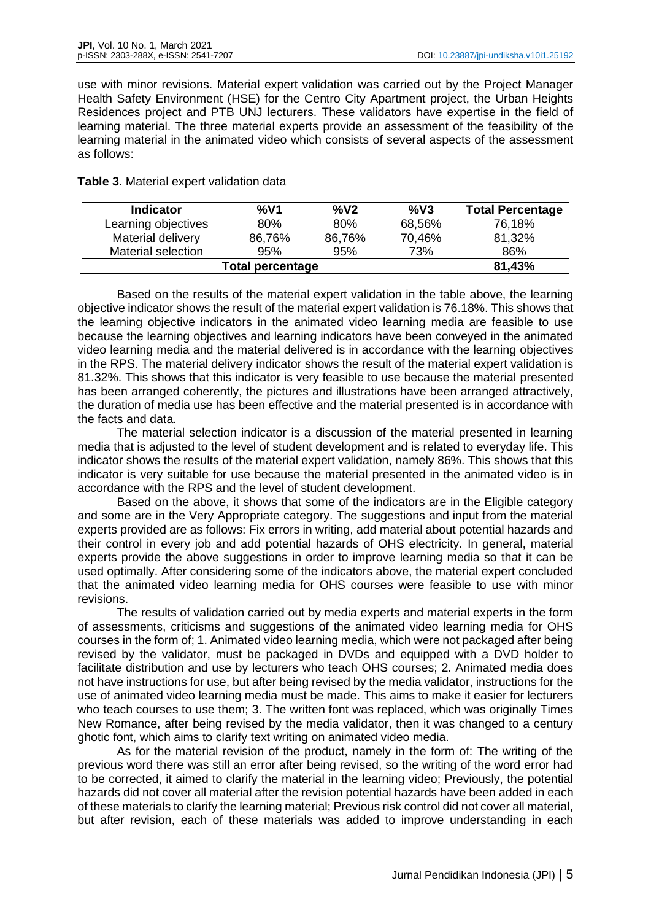use with minor revisions. Material expert validation was carried out by the Project Manager Health Safety Environment (HSE) for the Centro City Apartment project, the Urban Heights Residences project and PTB UNJ lecturers. These validators have expertise in the field of learning material. The three material experts provide an assessment of the feasibility of the learning material in the animated video which consists of several aspects of the assessment as follows:

**Table 3.** Material expert validation data

| <b>Indicator</b>    | %V1    | %V <sub>2</sub> | %V3    | <b>Total Percentage</b> |
|---------------------|--------|-----------------|--------|-------------------------|
| Learning objectives | 80%    | 80%             | 68,56% | 76,18%                  |
| Material delivery   | 86,76% | 86,76%          | 70,46% | 81,32%                  |
| Material selection  | 95%    | 95%             | 73%    | 86%                     |
| Total percentage    | 81,43% |                 |        |                         |

Based on the results of the material expert validation in the table above, the learning objective indicator shows the result of the material expert validation is 76.18%. This shows that the learning objective indicators in the animated video learning media are feasible to use because the learning objectives and learning indicators have been conveyed in the animated video learning media and the material delivered is in accordance with the learning objectives in the RPS. The material delivery indicator shows the result of the material expert validation is 81.32%. This shows that this indicator is very feasible to use because the material presented has been arranged coherently, the pictures and illustrations have been arranged attractively, the duration of media use has been effective and the material presented is in accordance with the facts and data.

The material selection indicator is a discussion of the material presented in learning media that is adjusted to the level of student development and is related to everyday life. This indicator shows the results of the material expert validation, namely 86%. This shows that this indicator is very suitable for use because the material presented in the animated video is in accordance with the RPS and the level of student development.

Based on the above, it shows that some of the indicators are in the Eligible category and some are in the Very Appropriate category. The suggestions and input from the material experts provided are as follows: Fix errors in writing, add material about potential hazards and their control in every job and add potential hazards of OHS electricity. In general, material experts provide the above suggestions in order to improve learning media so that it can be used optimally. After considering some of the indicators above, the material expert concluded that the animated video learning media for OHS courses were feasible to use with minor revisions.

The results of validation carried out by media experts and material experts in the form of assessments, criticisms and suggestions of the animated video learning media for OHS courses in the form of; 1. Animated video learning media, which were not packaged after being revised by the validator, must be packaged in DVDs and equipped with a DVD holder to facilitate distribution and use by lecturers who teach OHS courses; 2. Animated media does not have instructions for use, but after being revised by the media validator, instructions for the use of animated video learning media must be made. This aims to make it easier for lecturers who teach courses to use them; 3. The written font was replaced, which was originally Times New Romance, after being revised by the media validator, then it was changed to a century ghotic font, which aims to clarify text writing on animated video media.

As for the material revision of the product, namely in the form of: The writing of the previous word there was still an error after being revised, so the writing of the word error had to be corrected, it aimed to clarify the material in the learning video; Previously, the potential hazards did not cover all material after the revision potential hazards have been added in each of these materials to clarify the learning material; Previous risk control did not cover all material, but after revision, each of these materials was added to improve understanding in each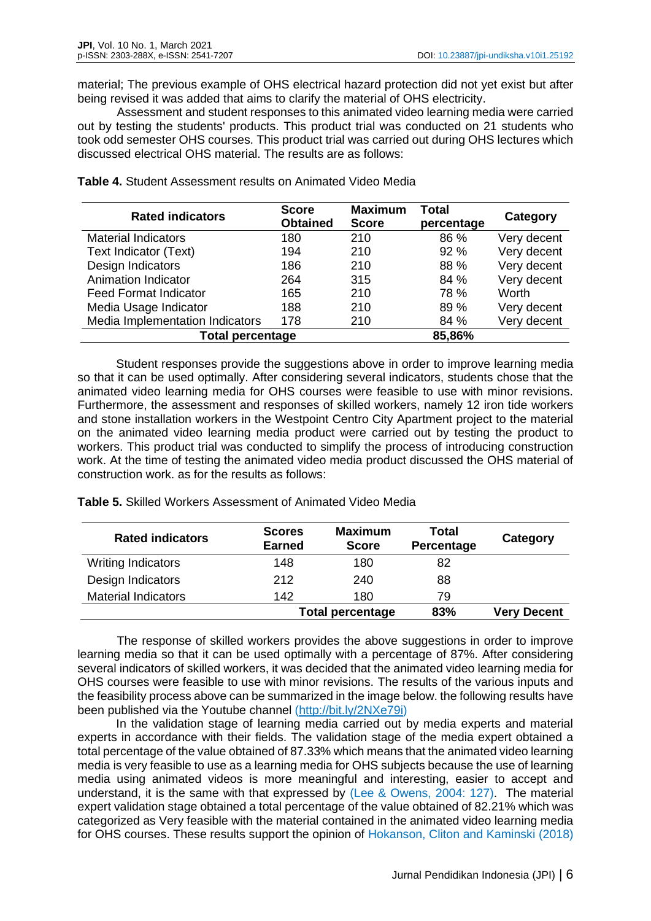material; The previous example of OHS electrical hazard protection did not yet exist but after being revised it was added that aims to clarify the material of OHS electricity.

Assessment and student responses to this animated video learning media were carried out by testing the students' products. This product trial was conducted on 21 students who took odd semester OHS courses. This product trial was carried out during OHS lectures which discussed electrical OHS material. The results are as follows:

| <b>Rated indicators</b>         | <b>Score</b><br><b>Obtained</b> | <b>Maximum</b><br><b>Score</b> | Total<br>percentage | Category    |
|---------------------------------|---------------------------------|--------------------------------|---------------------|-------------|
| <b>Material Indicators</b>      | 180                             | 210                            | 86 %                | Very decent |
| Text Indicator (Text)           | 194                             | 210                            | 92%                 | Very decent |
| Design Indicators               | 186                             | 210                            | 88 %                | Very decent |
| Animation Indicator             | 264                             | 315                            | 84 %                | Very decent |
| <b>Feed Format Indicator</b>    | 165                             | 210                            | 78 %                | Worth       |
| Media Usage Indicator           | 188                             | 210                            | 89 %                | Very decent |
| Media Implementation Indicators | 178                             | 210                            | 84 %                | Very decent |
| <b>Total percentage</b>         |                                 |                                | 85,86%              |             |

**Table 4.** Student Assessment results on Animated Video Media

Student responses provide the suggestions above in order to improve learning media so that it can be used optimally. After considering several indicators, students chose that the animated video learning media for OHS courses were feasible to use with minor revisions. Furthermore, the assessment and responses of skilled workers, namely 12 iron tide workers and stone installation workers in the Westpoint Centro City Apartment project to the material on the animated video learning media product were carried out by testing the product to workers. This product trial was conducted to simplify the process of introducing construction work. At the time of testing the animated video media product discussed the OHS material of construction work. as for the results as follows:

**Table 5.** Skilled Workers Assessment of Animated Video Media

| <b>Rated indicators</b>    | <b>Scores</b><br><b>Earned</b> | <b>Maximum</b><br><b>Score</b> | Total<br>Percentage | Category           |
|----------------------------|--------------------------------|--------------------------------|---------------------|--------------------|
| <b>Writing Indicators</b>  | 148                            | 180                            | 82                  |                    |
| Design Indicators          | 212                            | 240                            | 88                  |                    |
| <b>Material Indicators</b> | 142                            | 180                            | 79                  |                    |
|                            | <b>Total percentage</b>        |                                | 83%                 | <b>Very Decent</b> |

The response of skilled workers provides the above suggestions in order to improve learning media so that it can be used optimally with a percentage of 87%. After considering several indicators of skilled workers, it was decided that the animated video learning media for OHS courses were feasible to use with minor revisions. The results of the various inputs and the feasibility process above can be summarized in the image below. the following results have been published via the Youtube channel [\(http://bit.ly/2NXe79i\)](http://bit.ly/2NXe79i)

In the validation stage of learning media carried out by media experts and material experts in accordance with their fields. The validation stage of the media expert obtained a total percentage of the value obtained of 87.33% which means that the animated video learning media is very feasible to use as a learning media for OHS subjects because the use of learning media using animated videos is more meaningful and interesting, easier to accept and understand, it is the same with that expressed by (Lee & Owens, 2004: 127). The material expert validation stage obtained a total percentage of the value obtained of 82.21% which was categorized as Very feasible with the material contained in the animated video learning media for OHS courses. These results support the opinion of Hokanson, Cliton and Kaminski (2018)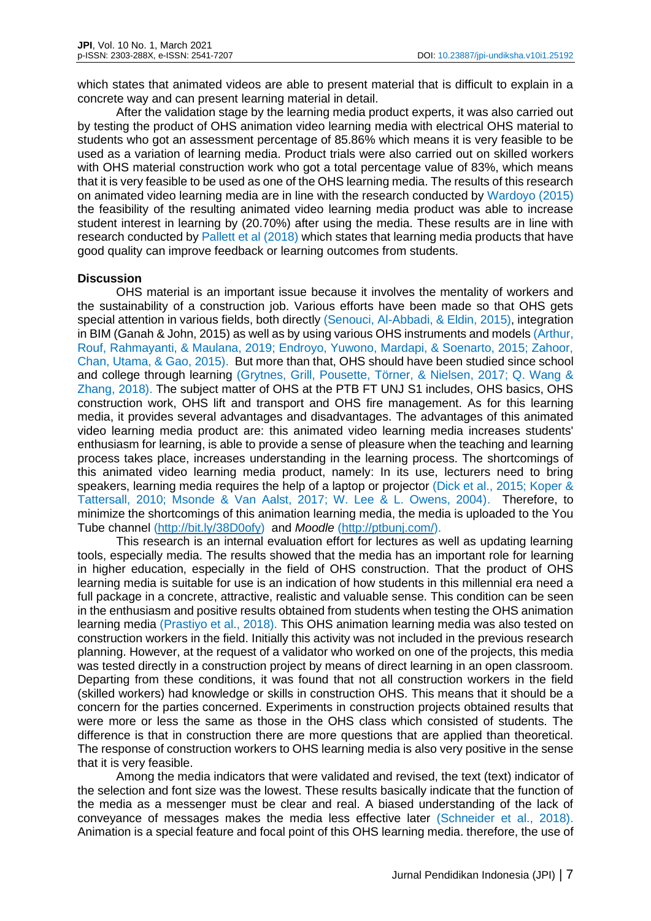which states that animated videos are able to present material that is difficult to explain in a concrete way and can present learning material in detail.

After the validation stage by the learning media product experts, it was also carried out by testing the product of OHS animation video learning media with electrical OHS material to students who got an assessment percentage of 85.86% which means it is very feasible to be used as a variation of learning media. Product trials were also carried out on skilled workers with OHS material construction work who got a total percentage value of 83%, which means that it is very feasible to be used as one of the OHS learning media. The results of this research on animated video learning media are in line with the research conducted by Wardoyo (2015) the feasibility of the resulting animated video learning media product was able to increase student interest in learning by (20.70%) after using the media. These results are in line with research conducted by Pallett et al (2018) which states that learning media products that have good quality can improve feedback or learning outcomes from students.

## **Discussion**

OHS material is an important issue because it involves the mentality of workers and the sustainability of a construction job. Various efforts have been made so that OHS gets special attention in various fields, both directly (Senouci, Al-Abbadi, & Eldin, 2015), integration in BIM (Ganah & John, 2015) as well as by using various OHS instruments and models (Arthur, Rouf, Rahmayanti, & Maulana, 2019; Endroyo, Yuwono, Mardapi, & Soenarto, 2015; Zahoor, Chan, Utama, & Gao, 2015). But more than that, OHS should have been studied since school and college through learning (Grytnes, Grill, Pousette, Törner, & Nielsen, 2017; Q. Wang & Zhang, 2018). The subject matter of OHS at the PTB FT UNJ S1 includes, OHS basics, OHS construction work, OHS lift and transport and OHS fire management. As for this learning media, it provides several advantages and disadvantages. The advantages of this animated video learning media product are: this animated video learning media increases students' enthusiasm for learning, is able to provide a sense of pleasure when the teaching and learning process takes place, increases understanding in the learning process. The shortcomings of this animated video learning media product, namely: In its use, lecturers need to bring speakers, learning media requires the help of a laptop or projector (Dick et al., 2015; Koper & Tattersall, 2010; Msonde & Van Aalst, 2017; W. Lee & L. Owens, 2004). Therefore, to minimize the shortcomings of this animation learning media, the media is uploaded to the You Tube channel [\(http://bit.ly/38D0ofy\)](http://bit.ly/38D0ofy) and *Moodle* [\(http://ptbunj.com/\)](http://ptbunj.com/).

This research is an internal evaluation effort for lectures as well as updating learning tools, especially media. The results showed that the media has an important role for learning in higher education, especially in the field of OHS construction. That the product of OHS learning media is suitable for use is an indication of how students in this millennial era need a full package in a concrete, attractive, realistic and valuable sense. This condition can be seen in the enthusiasm and positive results obtained from students when testing the OHS animation learning media (Prastiyo et al., 2018). This OHS animation learning media was also tested on construction workers in the field. Initially this activity was not included in the previous research planning. However, at the request of a validator who worked on one of the projects, this media was tested directly in a construction project by means of direct learning in an open classroom. Departing from these conditions, it was found that not all construction workers in the field (skilled workers) had knowledge or skills in construction OHS. This means that it should be a concern for the parties concerned. Experiments in construction projects obtained results that were more or less the same as those in the OHS class which consisted of students. The difference is that in construction there are more questions that are applied than theoretical. The response of construction workers to OHS learning media is also very positive in the sense that it is very feasible.

Among the media indicators that were validated and revised, the text (text) indicator of the selection and font size was the lowest. These results basically indicate that the function of the media as a messenger must be clear and real. A biased understanding of the lack of conveyance of messages makes the media less effective later (Schneider et al., 2018). Animation is a special feature and focal point of this OHS learning media. therefore, the use of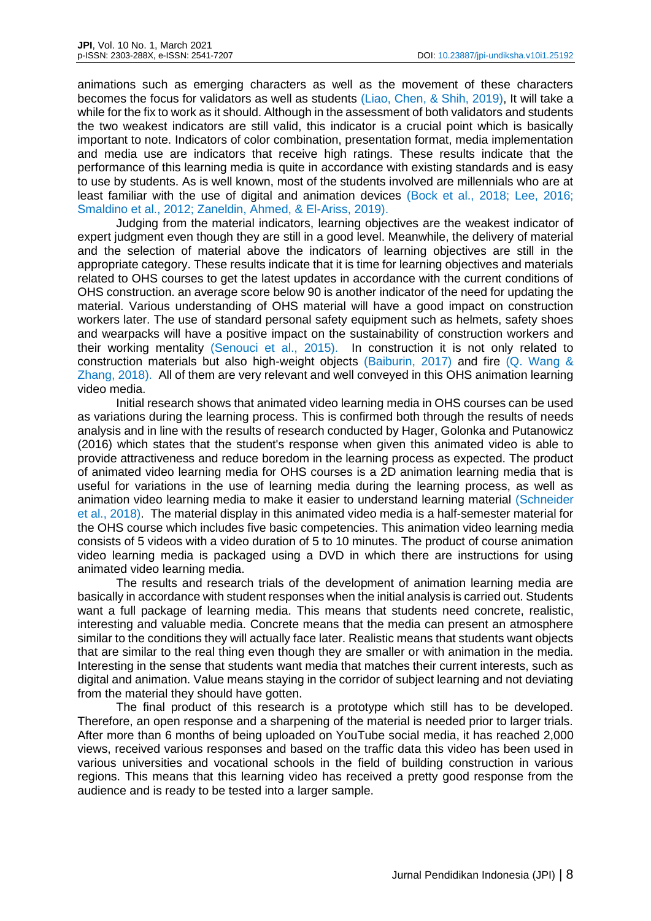animations such as emerging characters as well as the movement of these characters becomes the focus for validators as well as students (Liao, Chen, & Shih, 2019), It will take a while for the fix to work as it should. Although in the assessment of both validators and students the two weakest indicators are still valid, this indicator is a crucial point which is basically important to note. Indicators of color combination, presentation format, media implementation and media use are indicators that receive high ratings. These results indicate that the performance of this learning media is quite in accordance with existing standards and is easy to use by students. As is well known, most of the students involved are millennials who are at least familiar with the use of digital and animation devices (Bock et al., 2018; Lee, 2016; Smaldino et al., 2012; Zaneldin, Ahmed, & El-Ariss, 2019).

Judging from the material indicators, learning objectives are the weakest indicator of expert judgment even though they are still in a good level. Meanwhile, the delivery of material and the selection of material above the indicators of learning objectives are still in the appropriate category. These results indicate that it is time for learning objectives and materials related to OHS courses to get the latest updates in accordance with the current conditions of OHS construction. an average score below 90 is another indicator of the need for updating the material. Various understanding of OHS material will have a good impact on construction workers later. The use of standard personal safety equipment such as helmets, safety shoes and wearpacks will have a positive impact on the sustainability of construction workers and their working mentality (Senouci et al., 2015). In construction it is not only related to construction materials but also high-weight objects (Baiburin, 2017) and fire (Q. Wang & Zhang, 2018). All of them are very relevant and well conveyed in this OHS animation learning video media.

Initial research shows that animated video learning media in OHS courses can be used as variations during the learning process. This is confirmed both through the results of needs analysis and in line with the results of research conducted by Hager, Golonka and Putanowicz (2016) which states that the student's response when given this animated video is able to provide attractiveness and reduce boredom in the learning process as expected. The product of animated video learning media for OHS courses is a 2D animation learning media that is useful for variations in the use of learning media during the learning process, as well as animation video learning media to make it easier to understand learning material (Schneider et al., 2018). The material display in this animated video media is a half-semester material for the OHS course which includes five basic competencies. This animation video learning media consists of 5 videos with a video duration of 5 to 10 minutes. The product of course animation video learning media is packaged using a DVD in which there are instructions for using animated video learning media.

The results and research trials of the development of animation learning media are basically in accordance with student responses when the initial analysis is carried out. Students want a full package of learning media. This means that students need concrete, realistic, interesting and valuable media. Concrete means that the media can present an atmosphere similar to the conditions they will actually face later. Realistic means that students want objects that are similar to the real thing even though they are smaller or with animation in the media. Interesting in the sense that students want media that matches their current interests, such as digital and animation. Value means staying in the corridor of subject learning and not deviating from the material they should have gotten.

The final product of this research is a prototype which still has to be developed. Therefore, an open response and a sharpening of the material is needed prior to larger trials. After more than 6 months of being uploaded on YouTube social media, it has reached 2,000 views, received various responses and based on the traffic data this video has been used in various universities and vocational schools in the field of building construction in various regions. This means that this learning video has received a pretty good response from the audience and is ready to be tested into a larger sample.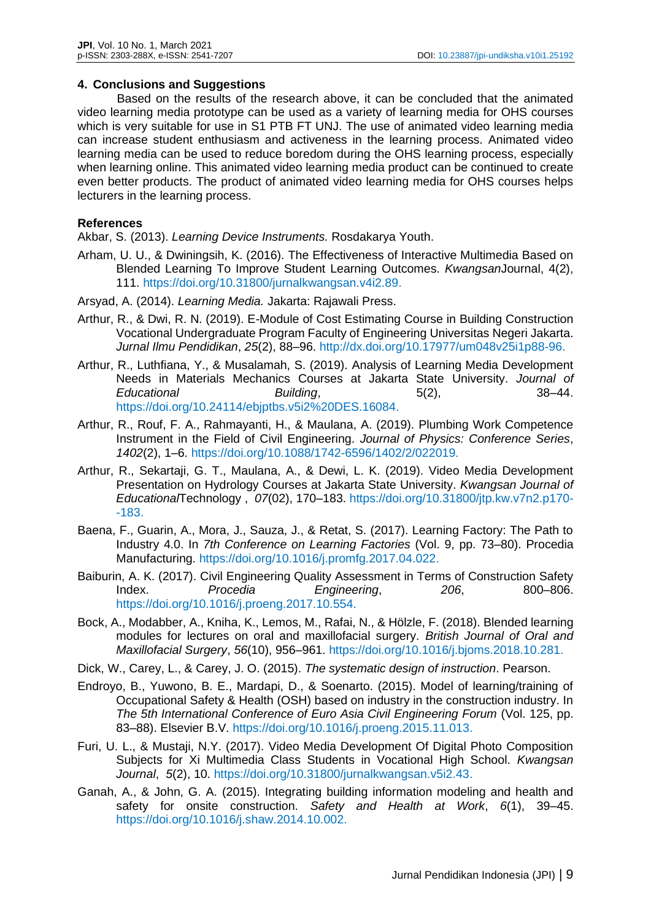#### **4. Conclusions and Suggestions**

Based on the results of the research above, it can be concluded that the animated video learning media prototype can be used as a variety of learning media for OHS courses which is very suitable for use in S1 PTB FT UNJ. The use of animated video learning media can increase student enthusiasm and activeness in the learning process. Animated video learning media can be used to reduce boredom during the OHS learning process, especially when learning online. This animated video learning media product can be continued to create even better products. The product of animated video learning media for OHS courses helps lecturers in the learning process.

### **References**

Akbar, S. (2013). *Learning Device Instruments.* Rosdakarya Youth.

- Arham, U. U., & Dwiningsih, K. (2016). The Effectiveness of Interactive Multimedia Based on Blended Learning To Improve Student Learning Outcomes. *Kwangsan*Journal, 4(2), 111. https://doi.org/10.31800/jurnalkwangsan.v4i2.89.
- Arsyad, A. (2014). *Learning Media.* Jakarta: Rajawali Press.
- Arthur, R., & Dwi, R. N. (2019). E-Module of Cost Estimating Course in Building Construction Vocational Undergraduate Program Faculty of Engineering Universitas Negeri Jakarta. *Jurnal Ilmu Pendidikan*, *25*(2), 88–96. http://dx.doi.org/10.17977/um048v25i1p88-96.
- Arthur, R., Luthfiana, Y., & Musalamah, S. (2019). Analysis of Learning Media Development Needs in Materials Mechanics Courses at Jakarta State University. *Journal of Educational Building*, 5(2), 38–44. https://doi.org/10.24114/ebjptbs.v5i2%20DES.16084.
- Arthur, R., Rouf, F. A., Rahmayanti, H., & Maulana, A. (2019). Plumbing Work Competence Instrument in the Field of Civil Engineering. *Journal of Physics: Conference Series*, *1402*(2), 1–6. https://doi.org/10.1088/1742-6596/1402/2/022019.
- Arthur, R., Sekartaji, G. T., Maulana, A., & Dewi, L. K. (2019). Video Media Development Presentation on Hydrology Courses at Jakarta State University. *Kwangsan Journal of Educational*Technology , *07*(02), 170–183. https://doi.org/10.31800/jtp.kw.v7n2.p170- -183.
- Baena, F., Guarin, A., Mora, J., Sauza, J., & Retat, S. (2017). Learning Factory: The Path to Industry 4.0. In *7th Conference on Learning Factories* (Vol. 9, pp. 73–80). Procedia Manufacturing. https://doi.org/10.1016/j.promfg.2017.04.022.
- Baiburin, A. K. (2017). Civil Engineering Quality Assessment in Terms of Construction Safety Index. *Procedia Engineering*, *206*, 800–806. https://doi.org/10.1016/j.proeng.2017.10.554.
- Bock, A., Modabber, A., Kniha, K., Lemos, M., Rafai, N., & Hölzle, F. (2018). Blended learning modules for lectures on oral and maxillofacial surgery. *British Journal of Oral and Maxillofacial Surgery*, *56*(10), 956–961. https://doi.org/10.1016/j.bjoms.2018.10.281.
- Dick, W., Carey, L., & Carey, J. O. (2015). *The systematic design of instruction*. Pearson.
- Endroyo, B., Yuwono, B. E., Mardapi, D., & Soenarto. (2015). Model of learning/training of Occupational Safety & Health (OSH) based on industry in the construction industry. In *The 5th International Conference of Euro Asia Civil Engineering Forum* (Vol. 125, pp. 83–88). Elsevier B.V. https://doi.org/10.1016/j.proeng.2015.11.013.
- Furi, U. L., & Mustaji, N.Y. (2017). Video Media Development Of Digital Photo Composition Subjects for Xi Multimedia Class Students in Vocational High School. *Kwangsan Journal*, *5*(2), 10. https://doi.org/10.31800/jurnalkwangsan.v5i2.43.
- Ganah, A., & John, G. A. (2015). Integrating building information modeling and health and safety for onsite construction. *Safety and Health at Work*, *6*(1), 39–45. https://doi.org/10.1016/j.shaw.2014.10.002.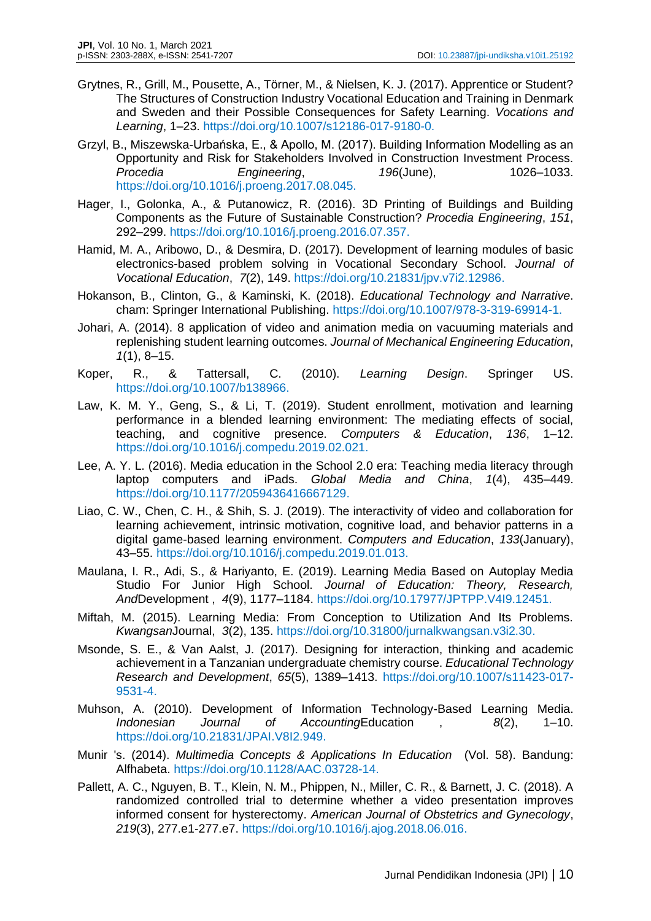- Grytnes, R., Grill, M., Pousette, A., Törner, M., & Nielsen, K. J. (2017). Apprentice or Student? The Structures of Construction Industry Vocational Education and Training in Denmark and Sweden and their Possible Consequences for Safety Learning. *Vocations and Learning*, 1–23. https://doi.org/10.1007/s12186-017-9180-0.
- Grzyl, B., Miszewska-Urbańska, E., & Apollo, M. (2017). Building Information Modelling as an Opportunity and Risk for Stakeholders Involved in Construction Investment Process. *Procedia Engineering*, *196*(June), 1026–1033. https://doi.org/10.1016/j.proeng.2017.08.045.
- Hager, I., Golonka, A., & Putanowicz, R. (2016). 3D Printing of Buildings and Building Components as the Future of Sustainable Construction? *Procedia Engineering*, *151*, 292–299. https://doi.org/10.1016/j.proeng.2016.07.357.
- Hamid, M. A., Aribowo, D., & Desmira, D. (2017). Development of learning modules of basic electronics-based problem solving in Vocational Secondary School. *Journal of Vocational Education*, *7*(2), 149. https://doi.org/10.21831/jpv.v7i2.12986.
- Hokanson, B., Clinton, G., & Kaminski, K. (2018). *Educational Technology and Narrative*. cham: Springer International Publishing. https://doi.org/10.1007/978-3-319-69914-1.
- Johari, A. (2014). 8 application of video and animation media on vacuuming materials and replenishing student learning outcomes. *Journal of Mechanical Engineering Education*, *1*(1), 8–15.
- Koper, R., & Tattersall, C. (2010). *Learning Design*. Springer US. https://doi.org/10.1007/b138966.
- Law, K. M. Y., Geng, S., & Li, T. (2019). Student enrollment, motivation and learning performance in a blended learning environment: The mediating effects of social, teaching, and cognitive presence. *Computers & Education*, *136*, 1–12. https://doi.org/10.1016/j.compedu.2019.02.021.
- Lee, A. Y. L. (2016). Media education in the School 2.0 era: Teaching media literacy through laptop computers and iPads. *Global Media and China*, *1*(4), 435–449. https://doi.org/10.1177/2059436416667129.
- Liao, C. W., Chen, C. H., & Shih, S. J. (2019). The interactivity of video and collaboration for learning achievement, intrinsic motivation, cognitive load, and behavior patterns in a digital game-based learning environment. *Computers and Education*, *133*(January), 43–55. https://doi.org/10.1016/j.compedu.2019.01.013.
- Maulana, I. R., Adi, S., & Hariyanto, E. (2019). Learning Media Based on Autoplay Media Studio For Junior High School. *Journal of Education: Theory, Research, And*Development , *4*(9), 1177–1184. https://doi.org/10.17977/JPTPP.V4I9.12451.
- Miftah, M. (2015). Learning Media: From Conception to Utilization And Its Problems. *Kwangsan*Journal, *3*(2), 135. https://doi.org/10.31800/jurnalkwangsan.v3i2.30.
- Msonde, S. E., & Van Aalst, J. (2017). Designing for interaction, thinking and academic achievement in a Tanzanian undergraduate chemistry course. *Educational Technology Research and Development*, *65*(5), 1389–1413. https://doi.org/10.1007/s11423-017- 9531-4.
- Muhson, A. (2010). Development of Information Technology-Based Learning Media. *Indonesian Journal of Accounting*Education , *8*(2), 1–10. https://doi.org/10.21831/JPAI.V8I2.949.
- Munir 's. (2014). *Multimedia Concepts & Applications In Education* (Vol. 58). Bandung: Alfhabeta. https://doi.org/10.1128/AAC.03728-14.
- Pallett, A. C., Nguyen, B. T., Klein, N. M., Phippen, N., Miller, C. R., & Barnett, J. C. (2018). A randomized controlled trial to determine whether a video presentation improves informed consent for hysterectomy. *American Journal of Obstetrics and Gynecology*, *219*(3), 277.e1-277.e7. https://doi.org/10.1016/j.ajog.2018.06.016.